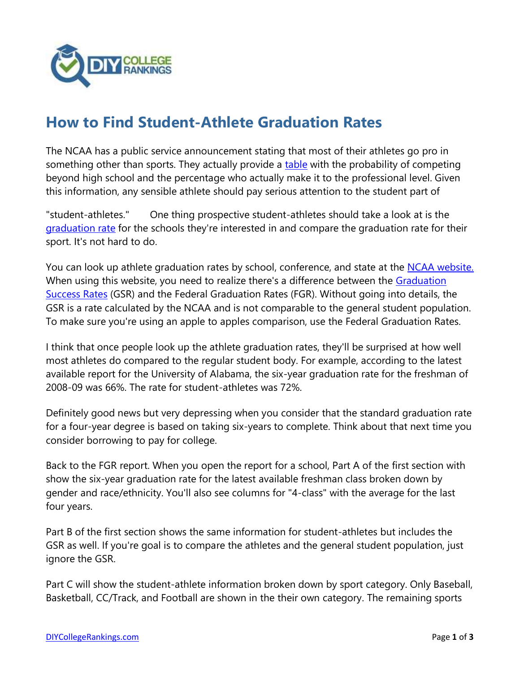

## **[How to Find Student-Athlete Graduation Rates](http://diycollegerankings.com/find-student-athlete-graduation-rates/7918/)**

The NCAA has a public service announcement stating that most of their athletes go pro in something other than sports. They actually provide a [table](http://www.ncaa.org/about/resources/research/probability-competing-beyond-high-school) with the probability of competing beyond high school and the percentage who actually make it to the professional level. Given this information, any sensible athlete should pay serious attention to the student part of

"student-athletes." One thing prospective student-athletes should take a look at is the [graduation rate](http://diycollegerankings.com/why-you-should-care-about-college-graduation-rates/3767/) for the schools they're interested in and compare the graduation rate for their sport. It's not hard to do.

You can look up athlete graduation rates by school, conference, and state at the [NCAA website.](https://web1.ncaa.org/GSRSearch/exec/homePageFGR) When using this website, you need to realize there's a difference between the [Graduation](http://www.ncaa.org/about/resources/research/graduation-success-rate)  [Success Rates](http://www.ncaa.org/about/resources/research/graduation-success-rate) (GSR) and the Federal Graduation Rates (FGR). Without going into details, the GSR is a rate calculated by the NCAA and is not comparable to the general student population. To make sure you're using an apple to apples comparison, use the Federal Graduation Rates.

I think that once people look up the athlete graduation rates, they'll be surprised at how well most athletes do compared to the regular student body. For example, according to the latest available report for the University of Alabama, the six-year graduation rate for the freshman of 2008-09 was 66%. The rate for student-athletes was 72%.

Definitely good news but very depressing when you consider that the standard graduation rate for a four-year degree is based on taking six-years to complete. Think about that next time you consider borrowing to pay for college.

Back to the FGR report. When you open the report for a school, Part A of the first section with show the six-year graduation rate for the latest available freshman class broken down by gender and race/ethnicity. You'll also see columns for "4-class" with the average for the last four years.

Part B of the first section shows the same information for student-athletes but includes the GSR as well. If you're goal is to compare the athletes and the general student population, just ignore the GSR.

Part C will show the student-athlete information broken down by sport category. Only Baseball, Basketball, CC/Track, and Football are shown in the their own category. The remaining sports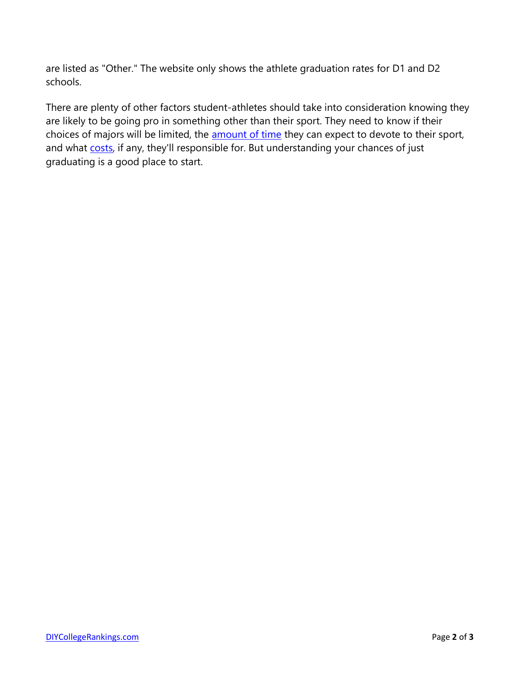are listed as "Other." The website only shows the athlete graduation rates for D1 and D2 schools.

There are plenty of other factors student-athletes should take into consideration knowing they are likely to be going pro in something other than their sport. They need to know if their choices of majors will be limited, the **[amount of time](http://diycollegerankings.com/are-college-baseball-players-happy-college-baseball-experience/2634/)** they can expect to devote to their sport, and what [costs,](http://diycollegerankings.com/who-pays-for-college-athletes-insurance/9288/) if any, they'll responsible for. But understanding your chances of just graduating is a good place to start.